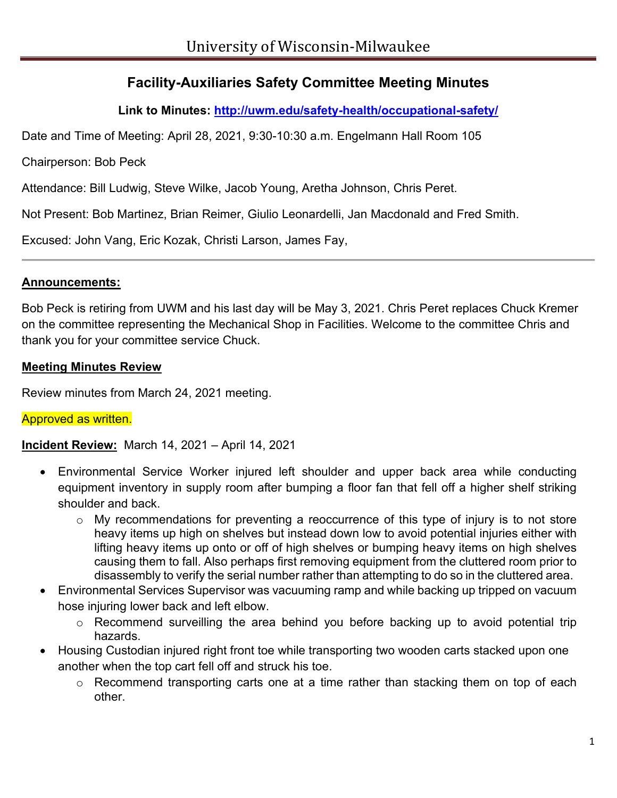# **Facility-Auxiliaries Safety Committee Meeting Minutes**

**Link to Minutes:<http://uwm.edu/safety-health/occupational-safety/>**

Date and Time of Meeting: April 28, 2021, 9:30-10:30 a.m. Engelmann Hall Room 105

Chairperson: Bob Peck

Attendance: Bill Ludwig, Steve Wilke, Jacob Young, Aretha Johnson, Chris Peret.

Not Present: Bob Martinez, Brian Reimer, Giulio Leonardelli, Jan Macdonald and Fred Smith.

Excused: John Vang, Eric Kozak, Christi Larson, James Fay,

### **Announcements:**

Bob Peck is retiring from UWM and his last day will be May 3, 2021. Chris Peret replaces Chuck Kremer on the committee representing the Mechanical Shop in Facilities. Welcome to the committee Chris and thank you for your committee service Chuck.

### **Meeting Minutes Review**

Review minutes from March 24, 2021 meeting.

## Approved as written.

**Incident Review:** March 14, 2021 – April 14, 2021

- Environmental Service Worker injured left shoulder and upper back area while conducting equipment inventory in supply room after bumping a floor fan that fell off a higher shelf striking shoulder and back.
	- o My recommendations for preventing a reoccurrence of this type of injury is to not store heavy items up high on shelves but instead down low to avoid potential injuries either with lifting heavy items up onto or off of high shelves or bumping heavy items on high shelves causing them to fall. Also perhaps first removing equipment from the cluttered room prior to disassembly to verify the serial number rather than attempting to do so in the cluttered area.
- Environmental Services Supervisor was vacuuming ramp and while backing up tripped on vacuum hose injuring lower back and left elbow.
	- o Recommend surveilling the area behind you before backing up to avoid potential trip hazards.
- Housing Custodian injured right front toe while transporting two wooden carts stacked upon one another when the top cart fell off and struck his toe.
	- o Recommend transporting carts one at a time rather than stacking them on top of each other.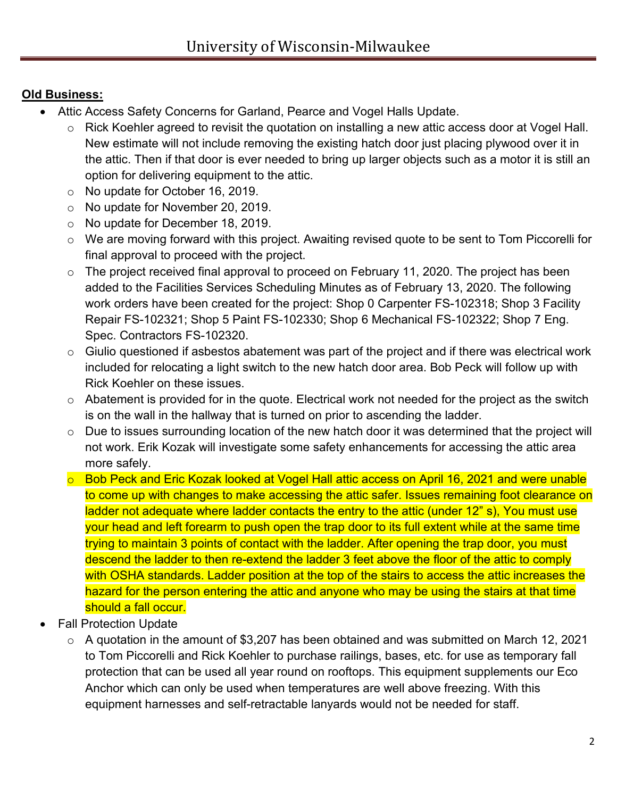# **Old Business:**

- Attic Access Safety Concerns for Garland, Pearce and Vogel Halls Update.
	- o Rick Koehler agreed to revisit the quotation on installing a new attic access door at Vogel Hall. New estimate will not include removing the existing hatch door just placing plywood over it in the attic. Then if that door is ever needed to bring up larger objects such as a motor it is still an option for delivering equipment to the attic.
	- o No update for October 16, 2019.
	- o No update for November 20, 2019.
	- o No update for December 18, 2019.
	- o We are moving forward with this project. Awaiting revised quote to be sent to Tom Piccorelli for final approval to proceed with the project.
	- o The project received final approval to proceed on February 11, 2020. The project has been added to the Facilities Services Scheduling Minutes as of February 13, 2020. The following work orders have been created for the project: Shop 0 Carpenter FS-102318; Shop 3 Facility Repair FS-102321; Shop 5 Paint FS-102330; Shop 6 Mechanical FS-102322; Shop 7 Eng. Spec. Contractors FS-102320.
	- $\circ$  Giulio questioned if asbestos abatement was part of the project and if there was electrical work included for relocating a light switch to the new hatch door area. Bob Peck will follow up with Rick Koehler on these issues.
	- $\circ$  Abatement is provided for in the quote. Electrical work not needed for the project as the switch is on the wall in the hallway that is turned on prior to ascending the ladder.
	- o Due to issues surrounding location of the new hatch door it was determined that the project will not work. Erik Kozak will investigate some safety enhancements for accessing the attic area more safely.
	- o Bob Peck and Eric Kozak looked at Vogel Hall attic access on April 16, 2021 and were unable to come up with changes to make accessing the attic safer. Issues remaining foot clearance on ladder not adequate where ladder contacts the entry to the attic (under 12" s), You must use your head and left forearm to push open the trap door to its full extent while at the same time trying to maintain 3 points of contact with the ladder. After opening the trap door, you must descend the ladder to then re-extend the ladder 3 feet above the floor of the attic to comply with OSHA standards. Ladder position at the top of the stairs to access the attic increases the hazard for the person entering the attic and anyone who may be using the stairs at that time should a fall occur.
- **Fall Protection Update** 
	- o A quotation in the amount of \$3,207 has been obtained and was submitted on March 12, 2021 to Tom Piccorelli and Rick Koehler to purchase railings, bases, etc. for use as temporary fall protection that can be used all year round on rooftops. This equipment supplements our Eco Anchor which can only be used when temperatures are well above freezing. With this equipment harnesses and self-retractable lanyards would not be needed for staff.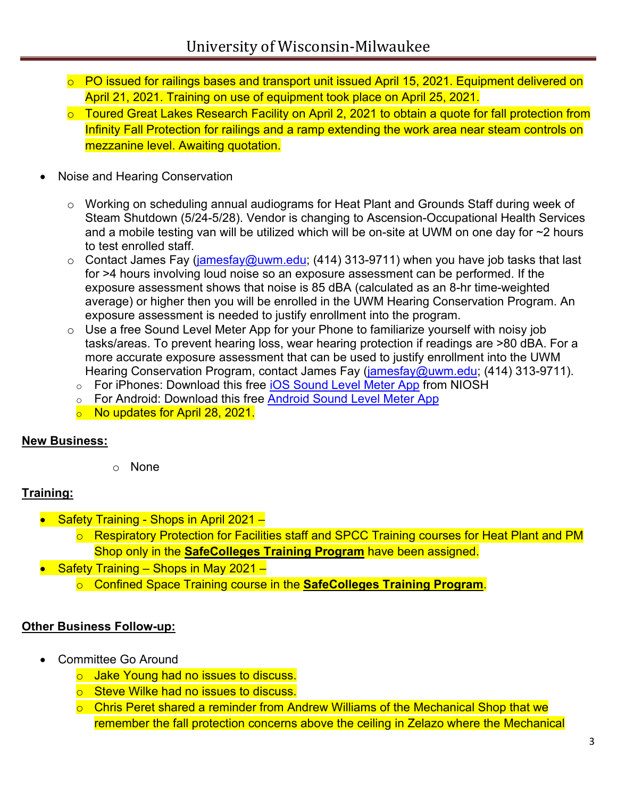- o PO issued for railings bases and transport unit issued April 15, 2021. Equipment delivered on April 21, 2021. Training on use of equipment took place on April 25, 2021.
- o Toured Great Lakes Research Facility on April 2, 2021 to obtain a quote for fall protection from Infinity Fall Protection for railings and a ramp extending the work area near steam controls on mezzanine level. Awaiting quotation.
- Noise and Hearing Conservation
	- $\circ$  Working on scheduling annual audiograms for Heat Plant and Grounds Staff during week of Steam Shutdown (5/24-5/28). Vendor is changing to Ascension-Occupational Health Services and a mobile testing van will be utilized which will be on-site at UWM on one day for ~2 hours to test enrolled staff.
	- $\circ$  Contact James Fay [\(jamesfay@uwm.edu;](mailto:jamesfay@uwm.edu) (414) 313-9711) when you have job tasks that last for >4 hours involving loud noise so an exposure assessment can be performed. If the exposure assessment shows that noise is 85 dBA (calculated as an 8-hr time-weighted average) or higher then you will be enrolled in the UWM Hearing Conservation Program. An exposure assessment is needed to justify enrollment into the program.
	- o Use a free Sound Level Meter App for your Phone to familiarize yourself with noisy job tasks/areas. To prevent hearing loss, wear hearing protection if readings are >80 dBA. For a more accurate exposure assessment that can be used to justify enrollment into the UWM Hearing Conservation Program, contact James Fay [\(jamesfay@uwm.edu;](mailto:jamesfay@uwm.edu) (414) 313-9711).
		- o For iPhones: Download this free [iOS Sound Level Meter App](https://nam02.safelinks.protection.outlook.com/?url=https%3A%2F%2Fwww.cdc.gov%2Fniosh%2Ftopics%2Fnoise%2Fapp.html&data=04%7C01%7Crjpeck%40uwm.edu%7Cf3fddd335a8448b1b8af08d8ee14b614%7C0bca7ac3fcb64efd89eb6de97603cf21%7C0%7C0%7C637521120003787992%7CUnknown%7CTWFpbGZsb3d8eyJWIjoiMC4wLjAwMDAiLCJQIjoiV2luMzIiLCJBTiI6Ik1haWwiLCJXVCI6Mn0%3D%7C1000&sdata=irdsgxGgkA1Ywr1qTIwls%2Fn1XubN4ZKLZtq2vdDq0Eo%3D&reserved=0) from NIOSH
		- o For Android: Download this free [Android Sound Level Meter App](https://play.google.com/store/apps/details?id=coocent.app.tools.soundmeter.noisedetector&utm_campaign=free-traffic&utm_source=solutions-softonic-com&utm_medium=referral)
		- $\circ$  No updates for April 28, 2021.

## **New Business:**

o None

## **Training:**

- Safety Training Shops in April 2021
	- o Respiratory Protection for Facilities staff and SPCC Training courses for Heat Plant and PM Shop only in the **SafeColleges Training Program** have been assigned.
- Safety Training Shops in May 2021
	- o Confined Space Training course in the **SafeColleges Training Program**.

## **Other Business Follow-up:**

- Committee Go Around
	- o Jake Young had no issues to discuss.
	- o Steve Wilke had no issues to discuss.
	- o Chris Peret shared a reminder from Andrew Williams of the Mechanical Shop that we remember the fall protection concerns above the ceiling in Zelazo where the Mechanical